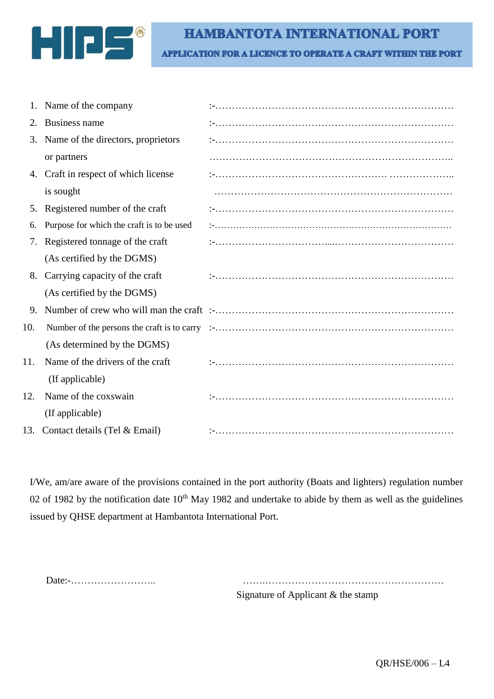

## **HAMBANTOTA INTERNATIONAL PORT**

**APPLICATION FOR A LICENCE TO OPERATE A CRAFT WITHIN THE PORT** 

|     | Name of the company                       |  |
|-----|-------------------------------------------|--|
| 2.  | Business name                             |  |
| 3.  | Name of the directors, proprietors        |  |
|     | or partners                               |  |
|     | 4. Craft in respect of which license      |  |
|     | is sought                                 |  |
| 5.  | Registered number of the craft            |  |
| 6.  | Purpose for which the craft is to be used |  |
| 7.  | Registered tonnage of the craft           |  |
|     | (As certified by the DGMS)                |  |
| 8.  | Carrying capacity of the craft            |  |
|     | (As certified by the DGMS)                |  |
| 9.  |                                           |  |
| 10. |                                           |  |
|     | (As determined by the DGMS)               |  |
| 11. | Name of the drivers of the craft          |  |
|     | (If applicable)                           |  |
| 12. | Name of the coxswain                      |  |
|     | (If applicable)                           |  |
|     | 13. Contact details (Tel & Email)         |  |

I/We, am/are aware of the provisions contained in the port authority (Boats and lighters) regulation number 02 of 1982 by the notification date  $10^{th}$  May 1982 and undertake to abide by them as well as the guidelines issued by QHSE department at Hambantota International Port.

 Date:-…………………….. …….……………………………………………… Signature of Applicant & the stamp